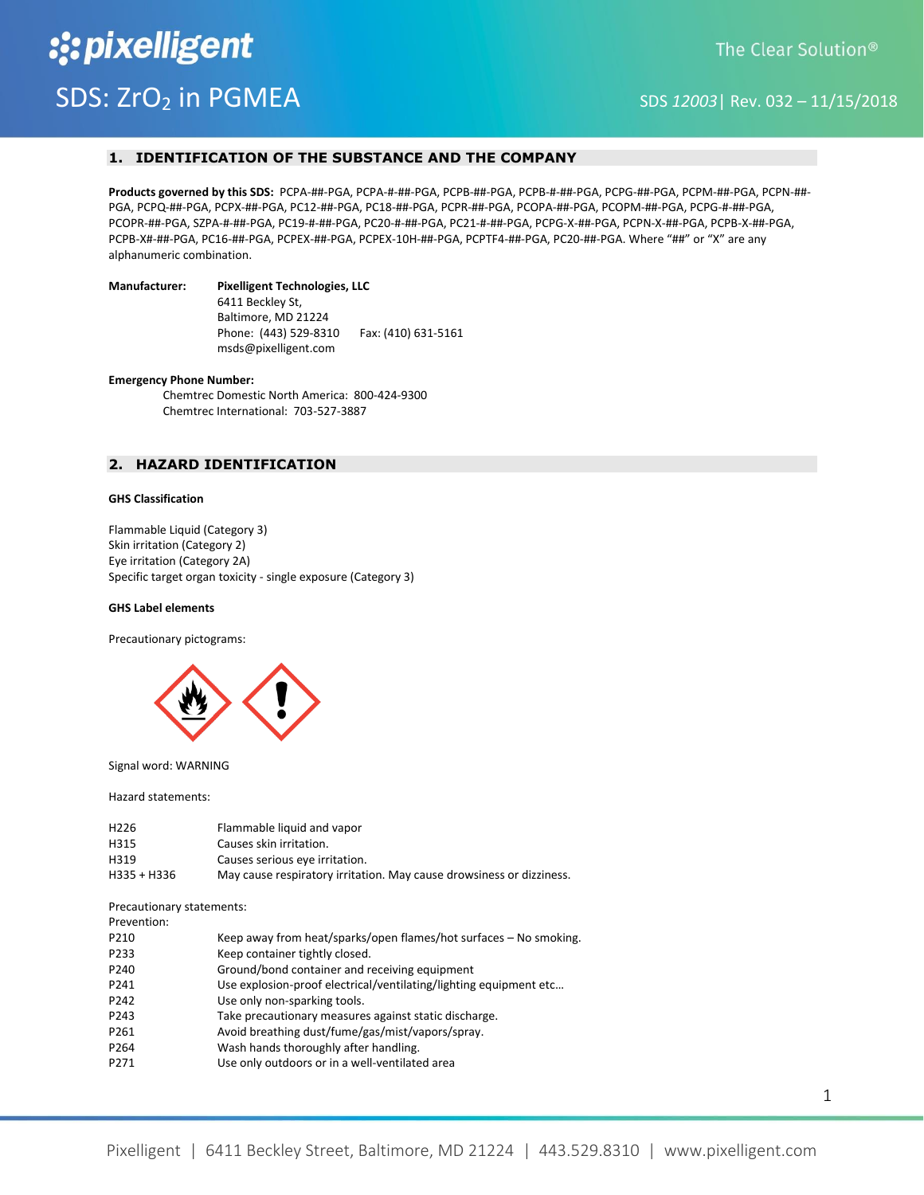# **1. IDENTIFICATION OF THE SUBSTANCE AND THE COMPANY**

**Products governed by this SDS:** PCPA-##-PGA, PCPA-#-##-PGA, PCPB-##-PGA, PCPB-#-##-PGA, PCPG-##-PGA, PCPM-##-PGA, PCPN-##- PGA, PCPQ-##-PGA, PCPX-##-PGA, PC12-##-PGA, PC18-##-PGA, PCPR-##-PGA, PCOPA-##-PGA, PCOPM-##-PGA, PCPG-#-##-PGA, PCOPR-##-PGA, SZPA-#-##-PGA, PC19-#-##-PGA, PC20-#-##-PGA, PC21-#-##-PGA, PCPG-X-##-PGA, PCPN-X-##-PGA, PCPB-X-##-PGA, PCPB-X#-##-PGA, PC16-##-PGA, PCPEX-##-PGA, PCPEX-10H-##-PGA, PCPTF4-##-PGA, PC20-##-PGA. Where "##" or "X" are any alphanumeric combination.

#### **Manufacturer: Pixelligent Technologies, LLC**

 6411 Beckley St, Baltimore, MD 21224 Phone: (443) 529-8310 Fax: (410) 631-5161 msds@pixelligent.com

#### **Emergency Phone Number:**

Chemtrec Domestic North America: 800-424-9300 Chemtrec International: 703-527-3887

# **2. HAZARD IDENTIFICATION**

## **GHS Classification**

Flammable Liquid (Category 3) Skin irritation (Category 2) Eye irritation (Category 2A) Specific target organ toxicity - single exposure (Category 3)

#### **GHS Label elements**

Precautionary pictograms:



#### Signal word: WARNING

Hazard statements:

| H <sub>226</sub> | Flammable liquid and vapor                                           |
|------------------|----------------------------------------------------------------------|
| H315             | Causes skin irritation.                                              |
| H319             | Causes serious eye irritation.                                       |
| H335 + H336      | May cause respiratory irritation. May cause drowsiness or dizziness. |

Precautionary statements:

Prevention:

| P210 | Keep away from heat/sparks/open flames/hot surfaces - No smoking. |
|------|-------------------------------------------------------------------|
| P233 | Keep container tightly closed.                                    |
| P240 | Ground/bond container and receiving equipment                     |
| P241 | Use explosion-proof electrical/ventilating/lighting equipment etc |
| P242 | Use only non-sparking tools.                                      |
| P243 | Take precautionary measures against static discharge.             |
| P261 | Avoid breathing dust/fume/gas/mist/vapors/spray.                  |
| P264 | Wash hands thoroughly after handling.                             |
| P271 | Use only outdoors or in a well-ventilated area                    |
|      |                                                                   |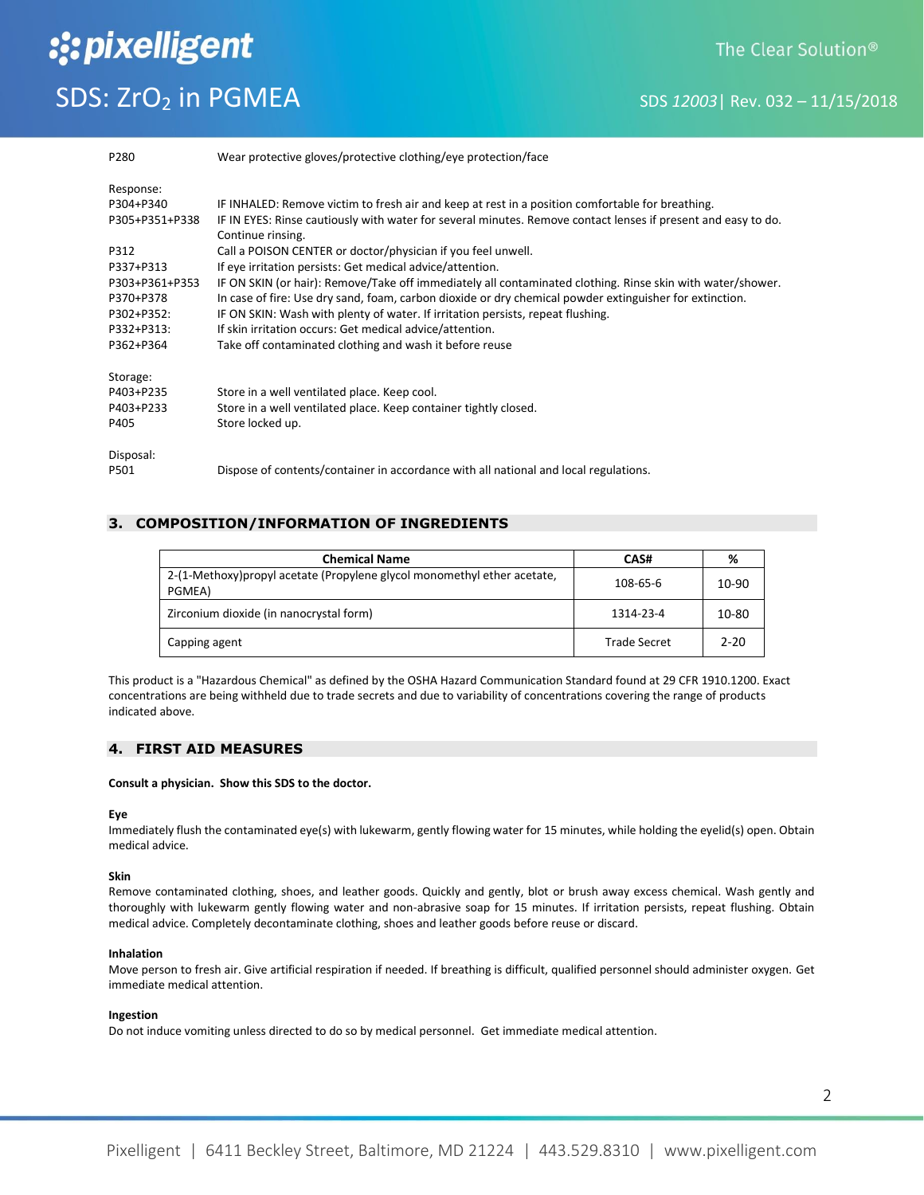# The Clear Solution<sup>®</sup>

# SDS: ZrO<sub>2</sub> in PGMEA SDS *12003*| Rev. 032 – 11/15/2018

:: pixelligent

| P280           | Wear protective gloves/protective clothing/eye protection/face                                                |
|----------------|---------------------------------------------------------------------------------------------------------------|
| Response:      |                                                                                                               |
| P304+P340      | IF INHALED: Remove victim to fresh air and keep at rest in a position comfortable for breathing.              |
| P305+P351+P338 | IF IN EYES: Rinse cautiously with water for several minutes. Remove contact lenses if present and easy to do. |
|                | Continue rinsing.                                                                                             |
| P312           | Call a POISON CENTER or doctor/physician if you feel unwell.                                                  |
| P337+P313      | If eye irritation persists: Get medical advice/attention.                                                     |
| P303+P361+P353 | IF ON SKIN (or hair): Remove/Take off immediately all contaminated clothing. Rinse skin with water/shower.    |
| P370+P378      | In case of fire: Use dry sand, foam, carbon dioxide or dry chemical powder extinguisher for extinction.       |
| P302+P352:     | IF ON SKIN: Wash with plenty of water. If irritation persists, repeat flushing.                               |
| P332+P313:     | If skin irritation occurs: Get medical advice/attention.                                                      |
| P362+P364      | Take off contaminated clothing and wash it before reuse                                                       |
| Storage:       |                                                                                                               |
| P403+P235      | Store in a well ventilated place. Keep cool.                                                                  |
| P403+P233      | Store in a well ventilated place. Keep container tightly closed.                                              |
| P405           | Store locked up.                                                                                              |
| Disposal:      |                                                                                                               |
| P501           | Dispose of contents/container in accordance with all national and local regulations.                          |

# **3. COMPOSITION/INFORMATION OF INGREDIENTS**

| <b>Chemical Name</b>                                                               | CAS#                | %     |
|------------------------------------------------------------------------------------|---------------------|-------|
| 2-(1-Methoxy) propyl acetate (Propylene glycol monomethyl ether acetate,<br>PGMEA) | 108-65-6            | 10-90 |
| Zirconium dioxide (in nanocrystal form)                                            | 1314-23-4           | 10-80 |
| Capping agent                                                                      | <b>Trade Secret</b> | 2-20  |

This product is a "Hazardous Chemical" as defined by the OSHA Hazard Communication Standard found at 29 CFR 1910.1200. Exact concentrations are being withheld due to trade secrets and due to variability of concentrations covering the range of products indicated above.

# **4. FIRST AID MEASURES**

#### **Consult a physician. Show this SDS to the doctor.**

#### **Eye**

Immediately flush the contaminated eye(s) with lukewarm, gently flowing water for 15 minutes, while holding the eyelid(s) open. Obtain medical advice.

## **Skin**

Remove contaminated clothing, shoes, and leather goods. Quickly and gently, blot or brush away excess chemical. Wash gently and thoroughly with lukewarm gently flowing water and non-abrasive soap for 15 minutes. If irritation persists, repeat flushing. Obtain medical advice. Completely decontaminate clothing, shoes and leather goods before reuse or discard.

#### **Inhalation**

Move person to fresh air. Give artificial respiration if needed. If breathing is difficult, qualified personnel should administer oxygen. Get immediate medical attention.

#### **Ingestion**

Do not induce vomiting unless directed to do so by medical personnel. Get immediate medical attention.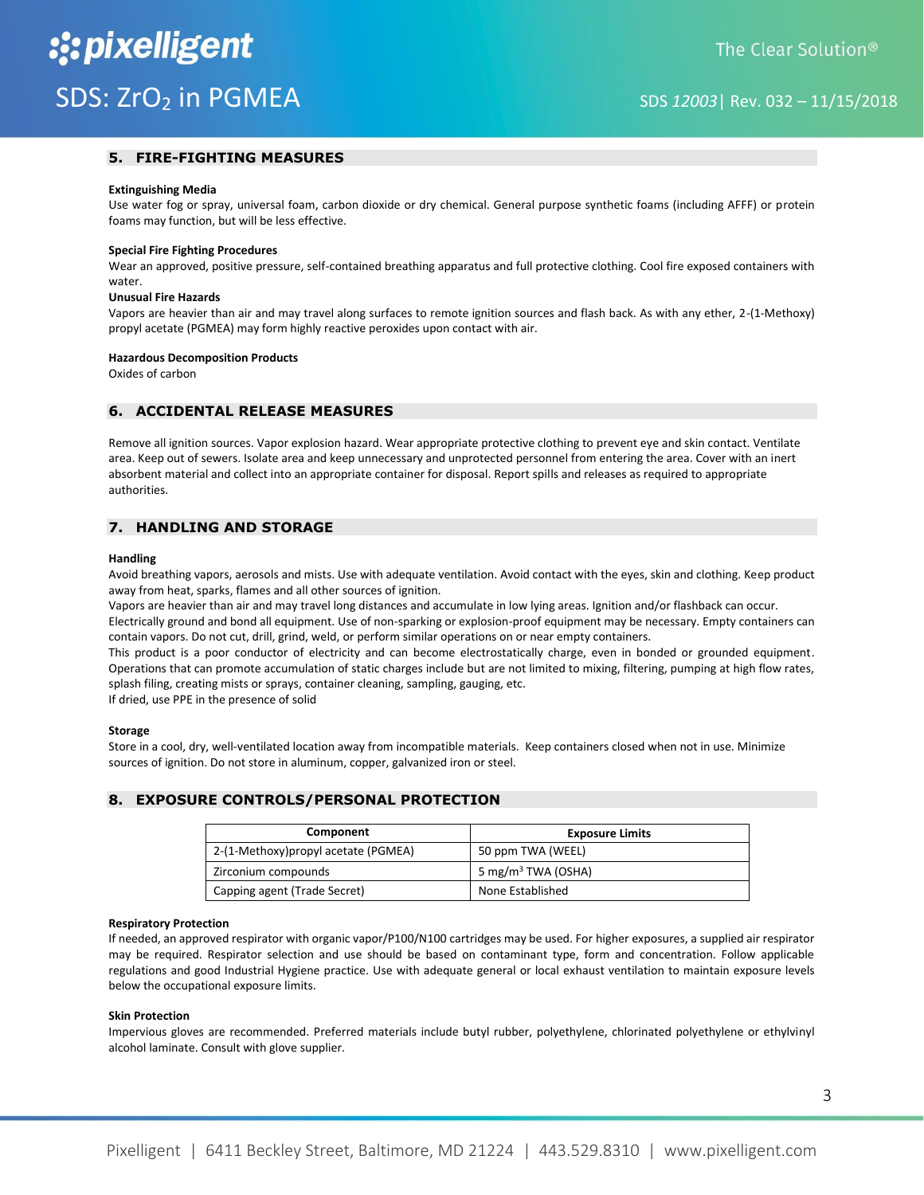# **5. FIRE-FIGHTING MEASURES**

#### **Extinguishing Media**

Use water fog or spray, universal foam, carbon dioxide or dry chemical. General purpose synthetic foams (including AFFF) or protein foams may function, but will be less effective.

#### **Special Fire Fighting Procedures**

Wear an approved, positive pressure, self-contained breathing apparatus and full protective clothing. Cool fire exposed containers with water.

#### **Unusual Fire Hazards**

Vapors are heavier than air and may travel along surfaces to remote ignition sources and flash back. As with any ether, 2-(1-Methoxy) propyl acetate (PGMEA) may form highly reactive peroxides upon contact with air.

#### **Hazardous Decomposition Products**

Oxides of carbon

#### **6. ACCIDENTAL RELEASE MEASURES**

Remove all ignition sources. Vapor explosion hazard. Wear appropriate protective clothing to prevent eye and skin contact. Ventilate area. Keep out of sewers. Isolate area and keep unnecessary and unprotected personnel from entering the area. Cover with an inert absorbent material and collect into an appropriate container for disposal. Report spills and releases as required to appropriate authorities.

# **7. HANDLING AND STORAGE**

#### **Handling**

Avoid breathing vapors, aerosols and mists. Use with adequate ventilation. Avoid contact with the eyes, skin and clothing. Keep product away from heat, sparks, flames and all other sources of ignition.

Vapors are heavier than air and may travel long distances and accumulate in low lying areas. Ignition and/or flashback can occur.

Electrically ground and bond all equipment. Use of non-sparking or explosion-proof equipment may be necessary. Empty containers can contain vapors. Do not cut, drill, grind, weld, or perform similar operations on or near empty containers.

This product is a poor conductor of electricity and can become electrostatically charge, even in bonded or grounded equipment. Operations that can promote accumulation of static charges include but are not limited to mixing, filtering, pumping at high flow rates, splash filing, creating mists or sprays, container cleaning, sampling, gauging, etc.

If dried, use PPE in the presence of solid

#### **Storage**

Store in a cool, dry, well-ventilated location away from incompatible materials. Keep containers closed when not in use. Minimize sources of ignition. Do not store in aluminum, copper, galvanized iron or steel.

## **8. EXPOSURE CONTROLS/PERSONAL PROTECTION**

| Component                            | <b>Exposure Limits</b>         |
|--------------------------------------|--------------------------------|
| 2-(1-Methoxy) propyl acetate (PGMEA) | 50 ppm TWA (WEEL)              |
| Zirconium compounds                  | 5 mg/m <sup>3</sup> TWA (OSHA) |
| Capping agent (Trade Secret)         | None Established               |

#### **Respiratory Protection**

If needed, an approved respirator with organic vapor/P100/N100 cartridges may be used. For higher exposures, a supplied air respirator may be required. Respirator selection and use should be based on contaminant type, form and concentration. Follow applicable regulations and good Industrial Hygiene practice. Use with adequate general or local exhaust ventilation to maintain exposure levels below the occupational exposure limits.

#### **Skin Protection**

Impervious gloves are recommended. Preferred materials include butyl rubber, polyethylene, chlorinated polyethylene or ethylvinyl alcohol laminate. Consult with glove supplier.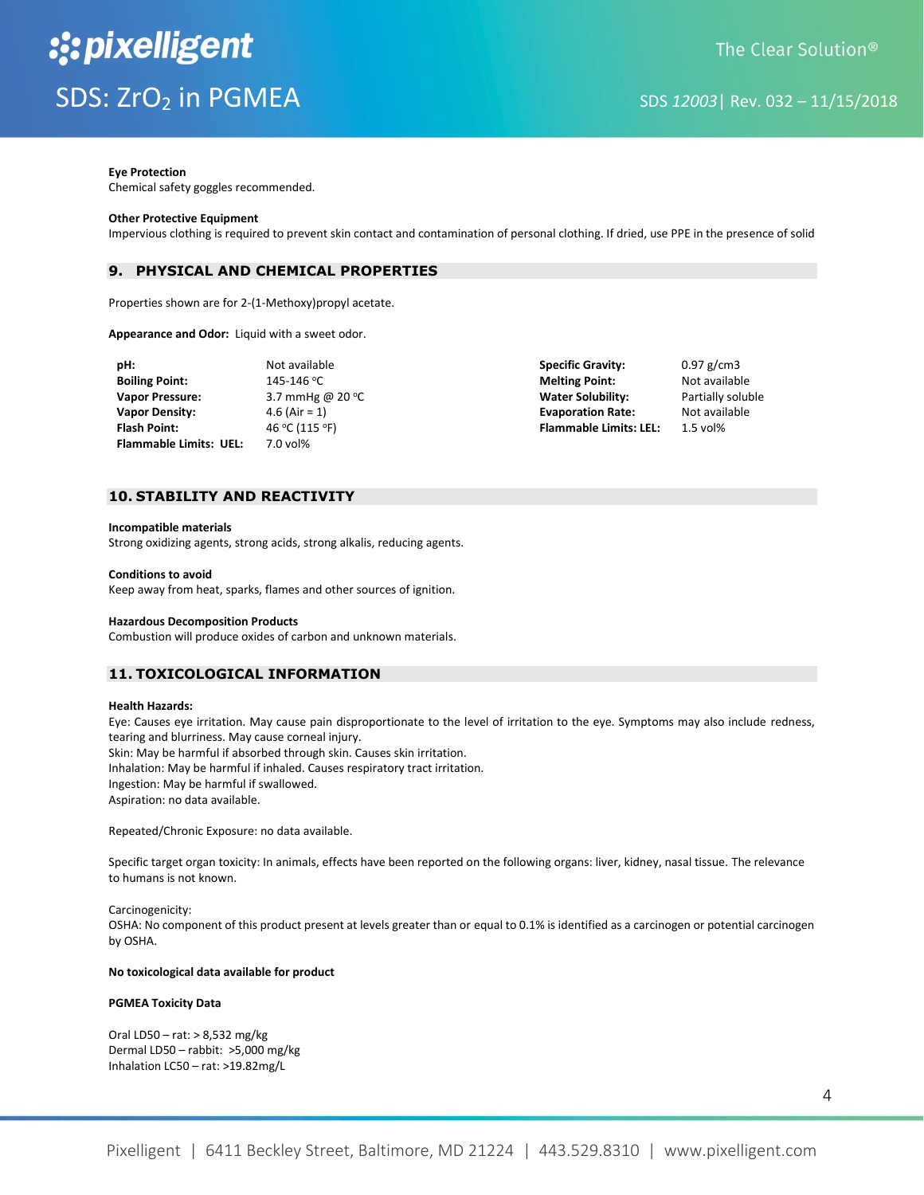#### **Eye Protection**

Chemical safety goggles recommended.

#### **Other Protective Equipment**

Impervious clothing is required to prevent skin contact and contamination of personal clothing. If dried, use PPE in the presence of solid

## **9. PHYSICAL AND CHEMICAL PROPERTIES**

Properties shown are for 2-(1-Methoxy)propyl acetate.

**Appearance and Odor:** Liquid with a sweet odor.

| pH:                           | Not available             | <b>Specific Gravity:</b>      | $0.97$ g/cm3      |
|-------------------------------|---------------------------|-------------------------------|-------------------|
| <b>Boiling Point:</b>         | 145-146 °C                | <b>Melting Point:</b>         | Not available     |
| <b>Vapor Pressure:</b>        | 3.7 mmHg @ 20 $\degree$ C | <b>Water Solubility:</b>      | Partially soluble |
| <b>Vapor Density:</b>         | 4.6 (Air = 1)             | <b>Evaporation Rate:</b>      | Not available     |
| <b>Flash Point:</b>           | 46 °C (115 °F)            | <b>Flammable Limits: LEL:</b> | $1.5$ vol%        |
| <b>Flammable Limits: UEL:</b> | $7.0$ vol%                |                               |                   |

# **10. STABILITY AND REACTIVITY**

#### **Incompatible materials**

Strong oxidizing agents, strong acids, strong alkalis, reducing agents.

#### **Conditions to avoid**

Keep away from heat, sparks, flames and other sources of ignition.

#### **Hazardous Decomposition Products**

Combustion will produce oxides of carbon and unknown materials.

# **11. TOXICOLOGICAL INFORMATION**

#### **Health Hazards:**

Eye: Causes eye irritation. May cause pain disproportionate to the level of irritation to the eye. Symptoms may also include redness, tearing and blurriness. May cause corneal injury. Skin: May be harmful if absorbed through skin. Causes skin irritation.

Inhalation: May be harmful if inhaled. Causes respiratory tract irritation.

Ingestion: May be harmful if swallowed.

Aspiration: no data available.

Repeated/Chronic Exposure: no data available.

Specific target organ toxicity: In animals, effects have been reported on the following organs: liver, kidney, nasal tissue. The relevance to humans is not known.

Carcinogenicity:

OSHA: No component of this product present at levels greater than or equal to 0.1% is identified as a carcinogen or potential carcinogen by OSHA.

#### **No toxicological data available for product**

#### **PGMEA Toxicity Data**

Oral LD50 – rat: > 8,532 mg/kg Dermal LD50 – rabbit: >5,000 mg/kg Inhalation LC50 – rat: >19.82mg/L